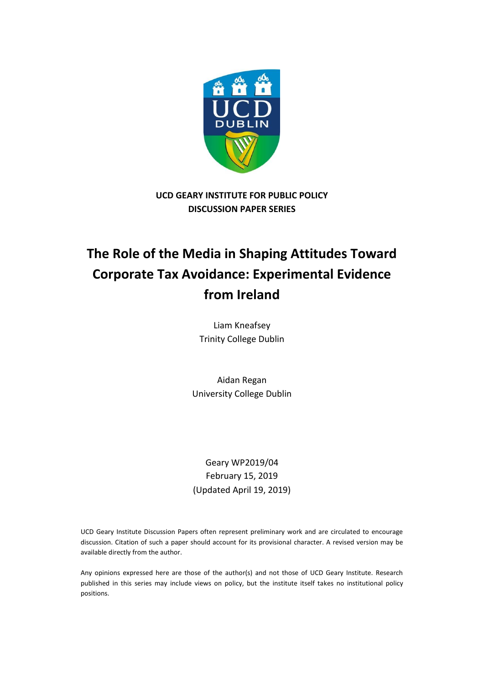

**UCD GEARY INSTITUTE FOR PUBLIC POLICY DISCUSSION PAPER SERIES**

# **The Role of the Media in Shaping Attitudes Toward Corporate Tax Avoidance: Experimental Evidence from Ireland**

Liam Kneafsey Trinity College Dublin

Aidan Regan University College Dublin

Geary WP2019/04 February 15, 2019 (Updated April 19, 2019)

UCD Geary Institute Discussion Papers often represent preliminary work and are circulated to encourage discussion. Citation of such a paper should account for its provisional character. A revised version may be available directly from the author.

Any opinions expressed here are those of the author(s) and not those of UCD Geary Institute. Research published in this series may include views on policy, but the institute itself takes no institutional policy positions.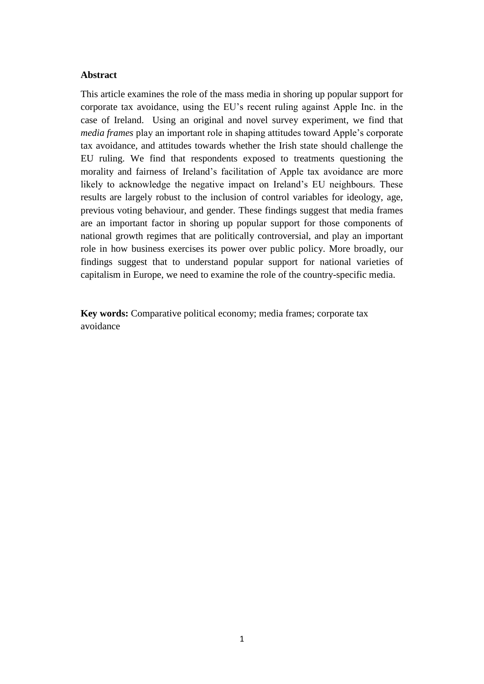#### **Abstract**

This article examines the role of the mass media in shoring up popular support for corporate tax avoidance, using the EU's recent ruling against Apple Inc. in the case of Ireland. Using an original and novel survey experiment, we find that *media frames* play an important role in shaping attitudes toward Apple's corporate tax avoidance, and attitudes towards whether the Irish state should challenge the EU ruling. We find that respondents exposed to treatments questioning the morality and fairness of Ireland's facilitation of Apple tax avoidance are more likely to acknowledge the negative impact on Ireland's EU neighbours. These results are largely robust to the inclusion of control variables for ideology, age, previous voting behaviour, and gender. These findings suggest that media frames are an important factor in shoring up popular support for those components of national growth regimes that are politically controversial, and play an important role in how business exercises its power over public policy. More broadly, our findings suggest that to understand popular support for national varieties of capitalism in Europe, we need to examine the role of the country-specific media.

**Key words:** Comparative political economy; media frames; corporate tax avoidance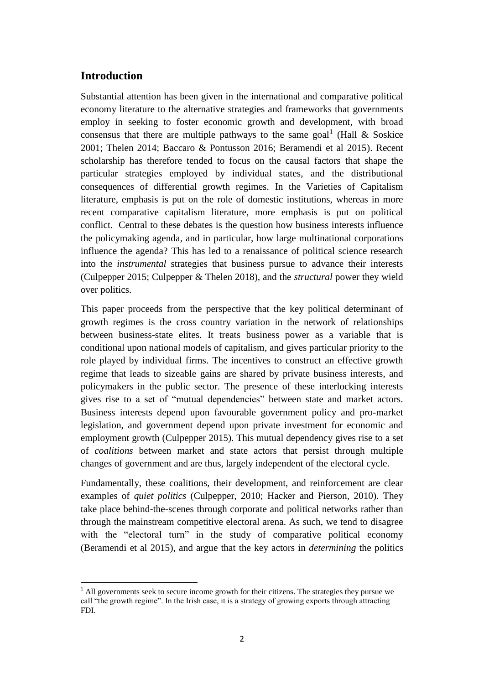#### **Introduction**

 $\overline{a}$ 

Substantial attention has been given in the international and comparative political economy literature to the alternative strategies and frameworks that governments employ in seeking to foster economic growth and development, with broad consensus that there are multiple pathways to the same goal<sup>1</sup> (Hall & Soskice 2001; Thelen 2014; Baccaro & Pontusson 2016; Beramendi et al 2015). Recent scholarship has therefore tended to focus on the causal factors that shape the particular strategies employed by individual states, and the distributional consequences of differential growth regimes. In the Varieties of Capitalism literature, emphasis is put on the role of domestic institutions, whereas in more recent comparative capitalism literature, more emphasis is put on political conflict. Central to these debates is the question how business interests influence the policymaking agenda, and in particular, how large multinational corporations influence the agenda? This has led to a renaissance of political science research into the *instrumental* strategies that business pursue to advance their interests (Culpepper 2015; Culpepper & Thelen 2018), and the *structural* power they wield over politics.

This paper proceeds from the perspective that the key political determinant of growth regimes is the cross country variation in the network of relationships between business-state elites. It treats business power as a variable that is conditional upon national models of capitalism, and gives particular priority to the role played by individual firms. The incentives to construct an effective growth regime that leads to sizeable gains are shared by private business interests, and policymakers in the public sector. The presence of these interlocking interests gives rise to a set of "mutual dependencies" between state and market actors. Business interests depend upon favourable government policy and pro-market legislation, and government depend upon private investment for economic and employment growth (Culpepper 2015). This mutual dependency gives rise to a set of *coalitions* between market and state actors that persist through multiple changes of government and are thus, largely independent of the electoral cycle.

Fundamentally, these coalitions, their development, and reinforcement are clear examples of *quiet politics* (Culpepper, 2010; Hacker and Pierson, 2010). They take place behind-the-scenes through corporate and political networks rather than through the mainstream competitive electoral arena. As such, we tend to disagree with the "electoral turn" in the study of comparative political economy (Beramendi et al 2015), and argue that the key actors in *determining* the politics

 $<sup>1</sup>$  All governments seek to secure income growth for their citizens. The strategies they pursue we</sup> call "the growth regime". In the Irish case, it is a strategy of growing exports through attracting FDI.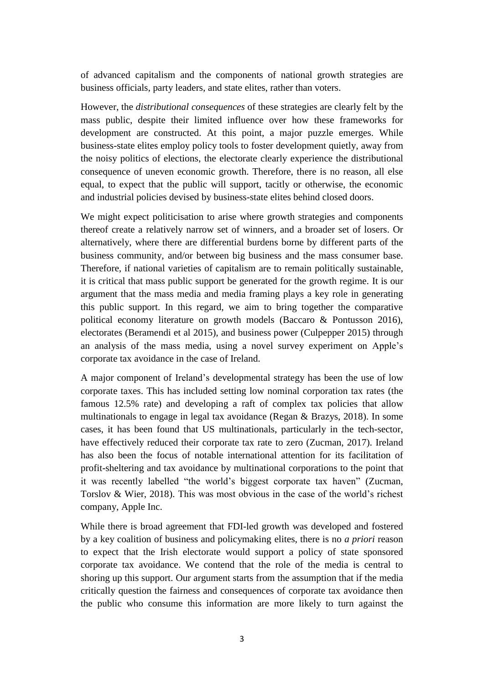of advanced capitalism and the components of national growth strategies are business officials, party leaders, and state elites, rather than voters.

However, the *distributional consequences* of these strategies are clearly felt by the mass public, despite their limited influence over how these frameworks for development are constructed. At this point, a major puzzle emerges. While business-state elites employ policy tools to foster development quietly, away from the noisy politics of elections, the electorate clearly experience the distributional consequence of uneven economic growth. Therefore, there is no reason, all else equal, to expect that the public will support, tacitly or otherwise, the economic and industrial policies devised by business-state elites behind closed doors.

We might expect politicisation to arise where growth strategies and components thereof create a relatively narrow set of winners, and a broader set of losers. Or alternatively, where there are differential burdens borne by different parts of the business community, and/or between big business and the mass consumer base. Therefore, if national varieties of capitalism are to remain politically sustainable, it is critical that mass public support be generated for the growth regime. It is our argument that the mass media and media framing plays a key role in generating this public support. In this regard, we aim to bring together the comparative political economy literature on growth models (Baccaro & Pontusson 2016), electorates (Beramendi et al 2015), and business power (Culpepper 2015) through an analysis of the mass media, using a novel survey experiment on Apple's corporate tax avoidance in the case of Ireland.

A major component of Ireland's developmental strategy has been the use of low corporate taxes. This has included setting low nominal corporation tax rates (the famous 12.5% rate) and developing a raft of complex tax policies that allow multinationals to engage in legal tax avoidance (Regan & Brazys, 2018). In some cases, it has been found that US multinationals, particularly in the tech-sector, have effectively reduced their corporate tax rate to zero (Zucman, 2017). Ireland has also been the focus of notable international attention for its facilitation of profit-sheltering and tax avoidance by multinational corporations to the point that it was recently labelled "the world's biggest corporate tax haven" (Zucman, Torslov & Wier, 2018). This was most obvious in the case of the world's richest company, Apple Inc.

While there is broad agreement that FDI-led growth was developed and fostered by a key coalition of business and policymaking elites, there is no *a priori* reason to expect that the Irish electorate would support a policy of state sponsored corporate tax avoidance. We contend that the role of the media is central to shoring up this support. Our argument starts from the assumption that if the media critically question the fairness and consequences of corporate tax avoidance then the public who consume this information are more likely to turn against the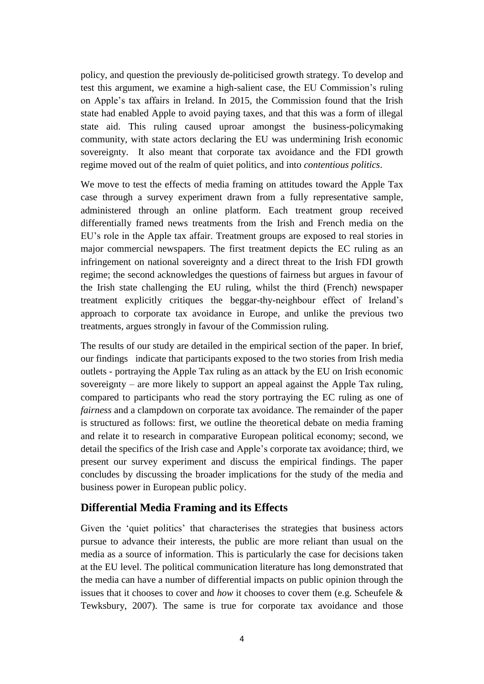policy, and question the previously de-politicised growth strategy. To develop and test this argument, we examine a high-salient case, the EU Commission's ruling on Apple's tax affairs in Ireland. In 2015, the Commission found that the Irish state had enabled Apple to avoid paying taxes, and that this was a form of illegal state aid. This ruling caused uproar amongst the business-policymaking community, with state actors declaring the EU was undermining Irish economic sovereignty. It also meant that corporate tax avoidance and the FDI growth regime moved out of the realm of quiet politics, and into *contentious politics*.

We move to test the effects of media framing on attitudes toward the Apple Tax case through a survey experiment drawn from a fully representative sample, administered through an online platform. Each treatment group received differentially framed news treatments from the Irish and French media on the EU's role in the Apple tax affair. Treatment groups are exposed to real stories in major commercial newspapers. The first treatment depicts the EC ruling as an infringement on national sovereignty and a direct threat to the Irish FDI growth regime; the second acknowledges the questions of fairness but argues in favour of the Irish state challenging the EU ruling, whilst the third (French) newspaper treatment explicitly critiques the beggar-thy-neighbour effect of Ireland's approach to corporate tax avoidance in Europe, and unlike the previous two treatments, argues strongly in favour of the Commission ruling.

The results of our study are detailed in the empirical section of the paper. In brief, our findings indicate that participants exposed to the two stories from Irish media outlets - portraying the Apple Tax ruling as an attack by the EU on Irish economic sovereignty – are more likely to support an appeal against the Apple Tax ruling, compared to participants who read the story portraying the EC ruling as one of *fairness* and a clampdown on corporate tax avoidance. The remainder of the paper is structured as follows: first, we outline the theoretical debate on media framing and relate it to research in comparative European political economy; second, we detail the specifics of the Irish case and Apple's corporate tax avoidance; third, we present our survey experiment and discuss the empirical findings. The paper concludes by discussing the broader implications for the study of the media and business power in European public policy.

#### **Differential Media Framing and its Effects**

Given the 'quiet politics' that characterises the strategies that business actors pursue to advance their interests, the public are more reliant than usual on the media as a source of information. This is particularly the case for decisions taken at the EU level. The political communication literature has long demonstrated that the media can have a number of differential impacts on public opinion through the issues that it chooses to cover and *how* it chooses to cover them (e.g. Scheufele & Tewksbury, 2007). The same is true for corporate tax avoidance and those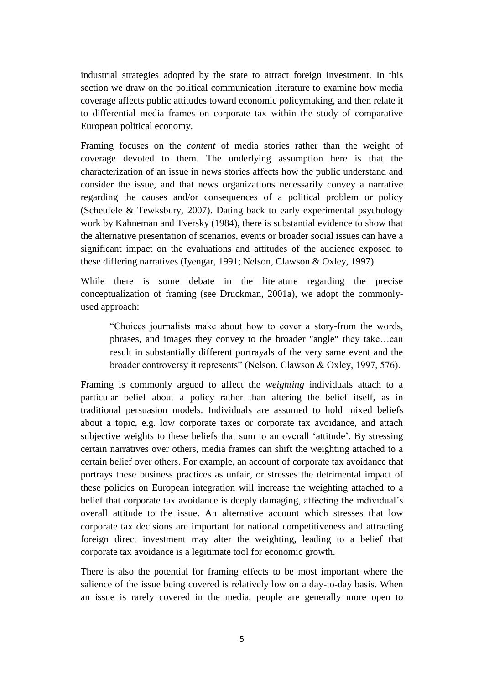industrial strategies adopted by the state to attract foreign investment. In this section we draw on the political communication literature to examine how media coverage affects public attitudes toward economic policymaking, and then relate it to differential media frames on corporate tax within the study of comparative European political economy.

Framing focuses on the *content* of media stories rather than the weight of coverage devoted to them. The underlying assumption here is that the characterization of an issue in news stories affects how the public understand and consider the issue, and that news organizations necessarily convey a narrative regarding the causes and/or consequences of a political problem or policy (Scheufele & Tewksbury, 2007). Dating back to early experimental psychology work by Kahneman and Tversky (1984), there is substantial evidence to show that the alternative presentation of scenarios, events or broader social issues can have a significant impact on the evaluations and attitudes of the audience exposed to these differing narratives (Iyengar, 1991; Nelson, Clawson & Oxley, 1997).

While there is some debate in the literature regarding the precise conceptualization of framing (see Druckman, 2001a), we adopt the commonlyused approach:

"Choices journalists make about how to cover a story-from the words, phrases, and images they convey to the broader "angle" they take…can result in substantially different portrayals of the very same event and the broader controversy it represents" (Nelson, Clawson & Oxley, 1997, 576).

Framing is commonly argued to affect the *weighting* individuals attach to a particular belief about a policy rather than altering the belief itself, as in traditional persuasion models. Individuals are assumed to hold mixed beliefs about a topic, e.g. low corporate taxes or corporate tax avoidance, and attach subjective weights to these beliefs that sum to an overall 'attitude'. By stressing certain narratives over others, media frames can shift the weighting attached to a certain belief over others. For example, an account of corporate tax avoidance that portrays these business practices as unfair, or stresses the detrimental impact of these policies on European integration will increase the weighting attached to a belief that corporate tax avoidance is deeply damaging, affecting the individual's overall attitude to the issue. An alternative account which stresses that low corporate tax decisions are important for national competitiveness and attracting foreign direct investment may alter the weighting, leading to a belief that corporate tax avoidance is a legitimate tool for economic growth.

There is also the potential for framing effects to be most important where the salience of the issue being covered is relatively low on a day-to-day basis. When an issue is rarely covered in the media, people are generally more open to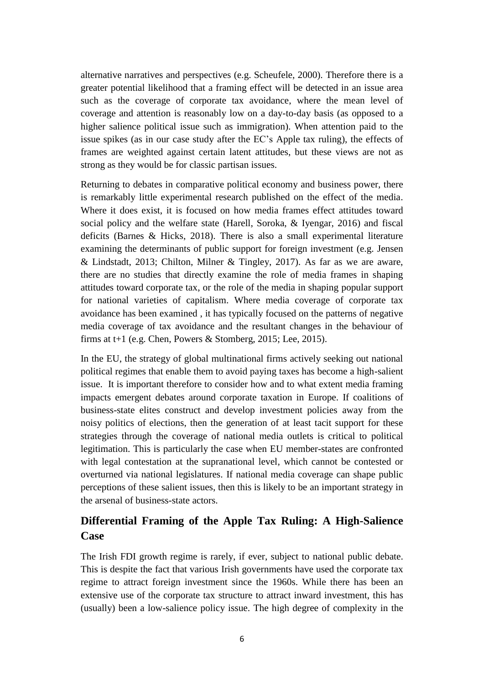alternative narratives and perspectives (e.g. Scheufele, 2000). Therefore there is a greater potential likelihood that a framing effect will be detected in an issue area such as the coverage of corporate tax avoidance, where the mean level of coverage and attention is reasonably low on a day-to-day basis (as opposed to a higher salience political issue such as immigration). When attention paid to the issue spikes (as in our case study after the EC's Apple tax ruling), the effects of frames are weighted against certain latent attitudes, but these views are not as strong as they would be for classic partisan issues.

Returning to debates in comparative political economy and business power, there is remarkably little experimental research published on the effect of the media. Where it does exist, it is focused on how media frames effect attitudes toward social policy and the welfare state (Harell, Soroka, & Iyengar, 2016) and fiscal deficits (Barnes & Hicks, 2018). There is also a small experimental literature examining the determinants of public support for foreign investment (e.g. Jensen & Lindstadt, 2013; Chilton, Milner & Tingley, 2017). As far as we are aware, there are no studies that directly examine the role of media frames in shaping attitudes toward corporate tax, or the role of the media in shaping popular support for national varieties of capitalism. Where media coverage of corporate tax avoidance has been examined , it has typically focused on the patterns of negative media coverage of tax avoidance and the resultant changes in the behaviour of firms at t+1 (e.g. Chen, Powers & Stomberg, 2015; Lee, 2015).

In the EU, the strategy of global multinational firms actively seeking out national political regimes that enable them to avoid paying taxes has become a high-salient issue. It is important therefore to consider how and to what extent media framing impacts emergent debates around corporate taxation in Europe. If coalitions of business-state elites construct and develop investment policies away from the noisy politics of elections, then the generation of at least tacit support for these strategies through the coverage of national media outlets is critical to political legitimation. This is particularly the case when EU member-states are confronted with legal contestation at the supranational level, which cannot be contested or overturned via national legislatures. If national media coverage can shape public perceptions of these salient issues, then this is likely to be an important strategy in the arsenal of business-state actors.

## **Differential Framing of the Apple Tax Ruling: A High-Salience Case**

The Irish FDI growth regime is rarely, if ever, subject to national public debate. This is despite the fact that various Irish governments have used the corporate tax regime to attract foreign investment since the 1960s. While there has been an extensive use of the corporate tax structure to attract inward investment, this has (usually) been a low-salience policy issue. The high degree of complexity in the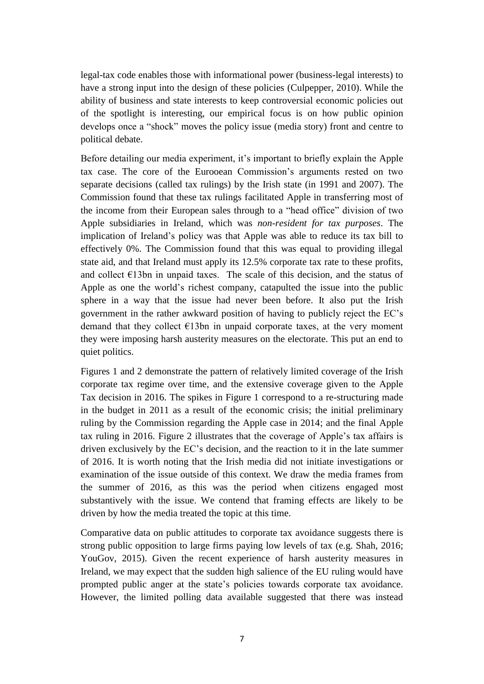legal-tax code enables those with informational power (business-legal interests) to have a strong input into the design of these policies (Culpepper, 2010). While the ability of business and state interests to keep controversial economic policies out of the spotlight is interesting, our empirical focus is on how public opinion develops once a "shock" moves the policy issue (media story) front and centre to political debate.

Before detailing our media experiment, it's important to briefly explain the Apple tax case. The core of the Eurooean Commission's arguments rested on two separate decisions (called tax rulings) by the Irish state (in 1991 and 2007). The Commission found that these tax rulings facilitated Apple in transferring most of the income from their European sales through to a "head office" division of two Apple subsidiaries in Ireland, which was *non-resident for tax purposes*. The implication of Ireland's policy was that Apple was able to reduce its tax bill to effectively 0%. The Commission found that this was equal to providing illegal state aid, and that Ireland must apply its 12.5% corporate tax rate to these profits, and collect  $E13$ bn in unpaid taxes. The scale of this decision, and the status of Apple as one the world's richest company, catapulted the issue into the public sphere in a way that the issue had never been before. It also put the Irish government in the rather awkward position of having to publicly reject the EC's demand that they collect  $E13bn$  in unpaid corporate taxes, at the very moment they were imposing harsh austerity measures on the electorate. This put an end to quiet politics.

Figures 1 and 2 demonstrate the pattern of relatively limited coverage of the Irish corporate tax regime over time, and the extensive coverage given to the Apple Tax decision in 2016. The spikes in Figure 1 correspond to a re-structuring made in the budget in 2011 as a result of the economic crisis; the initial preliminary ruling by the Commission regarding the Apple case in 2014; and the final Apple tax ruling in 2016. Figure 2 illustrates that the coverage of Apple's tax affairs is driven exclusively by the EC's decision, and the reaction to it in the late summer of 2016. It is worth noting that the Irish media did not initiate investigations or examination of the issue outside of this context. We draw the media frames from the summer of 2016, as this was the period when citizens engaged most substantively with the issue. We contend that framing effects are likely to be driven by how the media treated the topic at this time.

Comparative data on public attitudes to corporate tax avoidance suggests there is strong public opposition to large firms paying low levels of tax (e.g. Shah, 2016; YouGov, 2015). Given the recent experience of harsh austerity measures in Ireland, we may expect that the sudden high salience of the EU ruling would have prompted public anger at the state's policies towards corporate tax avoidance. However, the limited polling data available suggested that there was instead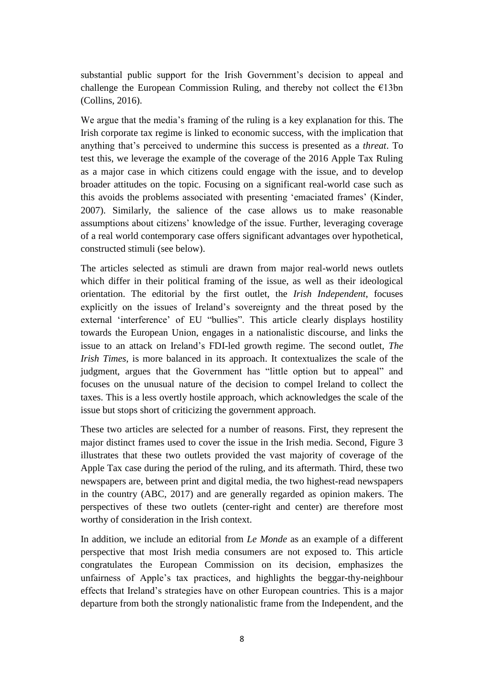substantial public support for the Irish Government's decision to appeal and challenge the European Commission Ruling, and thereby not collect the  $E13bn$ (Collins, 2016).

We argue that the media's framing of the ruling is a key explanation for this. The Irish corporate tax regime is linked to economic success, with the implication that anything that's perceived to undermine this success is presented as a *threat*. To test this, we leverage the example of the coverage of the 2016 Apple Tax Ruling as a major case in which citizens could engage with the issue, and to develop broader attitudes on the topic. Focusing on a significant real-world case such as this avoids the problems associated with presenting 'emaciated frames' (Kinder, 2007). Similarly, the salience of the case allows us to make reasonable assumptions about citizens' knowledge of the issue. Further, leveraging coverage of a real world contemporary case offers significant advantages over hypothetical, constructed stimuli (see below).

The articles selected as stimuli are drawn from major real-world news outlets which differ in their political framing of the issue, as well as their ideological orientation. The editorial by the first outlet, the *Irish Independent*, focuses explicitly on the issues of Ireland's sovereignty and the threat posed by the external 'interference' of EU "bullies". This article clearly displays hostility towards the European Union, engages in a nationalistic discourse, and links the issue to an attack on Ireland's FDI-led growth regime. The second outlet, *The Irish Times*, is more balanced in its approach. It contextualizes the scale of the judgment, argues that the Government has "little option but to appeal" and focuses on the unusual nature of the decision to compel Ireland to collect the taxes. This is a less overtly hostile approach, which acknowledges the scale of the issue but stops short of criticizing the government approach.

These two articles are selected for a number of reasons. First, they represent the major distinct frames used to cover the issue in the Irish media. Second, Figure 3 illustrates that these two outlets provided the vast majority of coverage of the Apple Tax case during the period of the ruling, and its aftermath. Third, these two newspapers are, between print and digital media, the two highest-read newspapers in the country (ABC, 2017) and are generally regarded as opinion makers. The perspectives of these two outlets (center-right and center) are therefore most worthy of consideration in the Irish context.

In addition, we include an editorial from *Le Monde* as an example of a different perspective that most Irish media consumers are not exposed to. This article congratulates the European Commission on its decision, emphasizes the unfairness of Apple's tax practices, and highlights the beggar-thy-neighbour effects that Ireland's strategies have on other European countries. This is a major departure from both the strongly nationalistic frame from the Independent, and the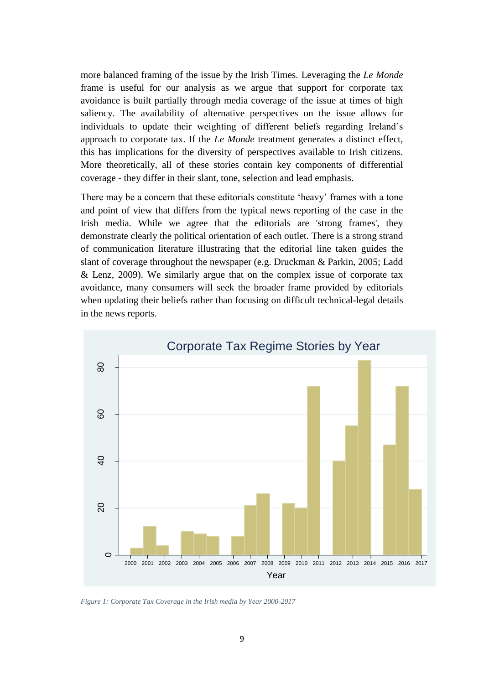more balanced framing of the issue by the Irish Times. Leveraging the *Le Monde* frame is useful for our analysis as we argue that support for corporate tax avoidance is built partially through media coverage of the issue at times of high saliency. The availability of alternative perspectives on the issue allows for individuals to update their weighting of different beliefs regarding Ireland's approach to corporate tax. If the *Le Monde* treatment generates a distinct effect, this has implications for the diversity of perspectives available to Irish citizens. More theoretically, all of these stories contain key components of differential coverage - they differ in their slant, tone, selection and lead emphasis.

There may be a concern that these editorials constitute 'heavy' frames with a tone and point of view that differs from the typical news reporting of the case in the Irish media. While we agree that the editorials are 'strong frames', they demonstrate clearly the political orientation of each outlet. There is a strong strand of communication literature illustrating that the editorial line taken guides the slant of coverage throughout the newspaper (e.g. Druckman & Parkin, 2005; Ladd & Lenz, 2009). We similarly argue that on the complex issue of corporate tax avoidance, many consumers will seek the broader frame provided by editorials when updating their beliefs rather than focusing on difficult technical-legal details in the news reports.



*Figure 1: Corporate Tax Coverage in the Irish media by Year 2000-2017*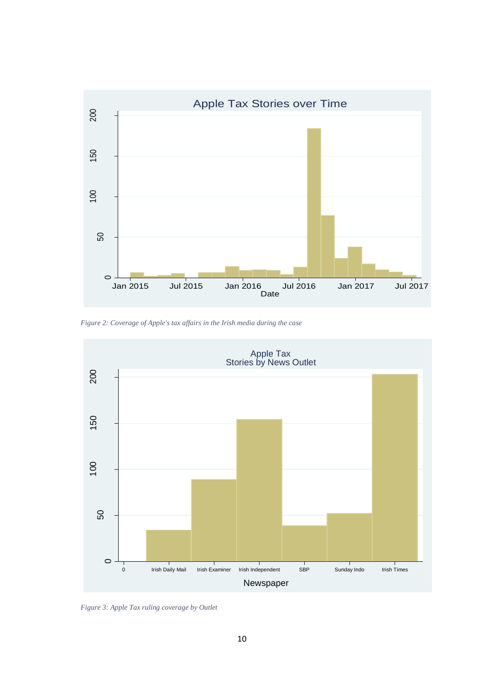

*Figure 2: Coverage of Apple's tax affairs in the Irish media during the case*



*Figure 3: Apple Tax ruling coverage by Outlet*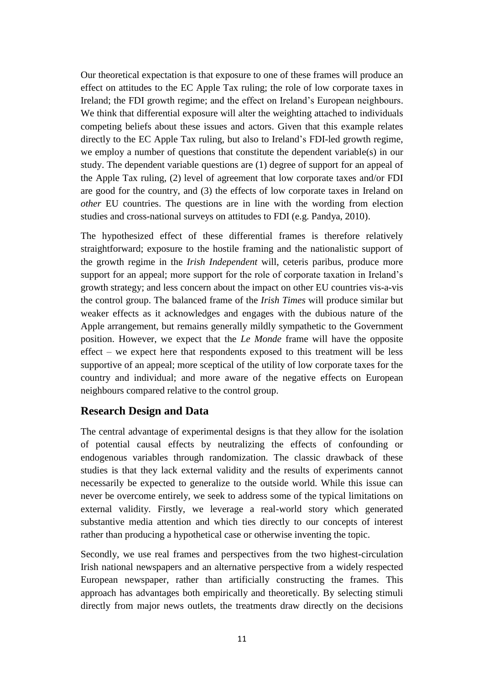Our theoretical expectation is that exposure to one of these frames will produce an effect on attitudes to the EC Apple Tax ruling; the role of low corporate taxes in Ireland; the FDI growth regime; and the effect on Ireland's European neighbours. We think that differential exposure will alter the weighting attached to individuals competing beliefs about these issues and actors. Given that this example relates directly to the EC Apple Tax ruling, but also to Ireland's FDI-led growth regime, we employ a number of questions that constitute the dependent variable(s) in our study. The dependent variable questions are (1) degree of support for an appeal of the Apple Tax ruling, (2) level of agreement that low corporate taxes and/or FDI are good for the country, and (3) the effects of low corporate taxes in Ireland on *other* EU countries. The questions are in line with the wording from election studies and cross-national surveys on attitudes to FDI (e.g. Pandya, 2010).

The hypothesized effect of these differential frames is therefore relatively straightforward; exposure to the hostile framing and the nationalistic support of the growth regime in the *Irish Independent* will, ceteris paribus, produce more support for an appeal; more support for the role of corporate taxation in Ireland's growth strategy; and less concern about the impact on other EU countries vis-a-vis the control group. The balanced frame of the *Irish Times* will produce similar but weaker effects as it acknowledges and engages with the dubious nature of the Apple arrangement, but remains generally mildly sympathetic to the Government position. However, we expect that the *Le Monde* frame will have the opposite effect – we expect here that respondents exposed to this treatment will be less supportive of an appeal; more sceptical of the utility of low corporate taxes for the country and individual; and more aware of the negative effects on European neighbours compared relative to the control group.

#### **Research Design and Data**

The central advantage of experimental designs is that they allow for the isolation of potential causal effects by neutralizing the effects of confounding or endogenous variables through randomization. The classic drawback of these studies is that they lack external validity and the results of experiments cannot necessarily be expected to generalize to the outside world. While this issue can never be overcome entirely, we seek to address some of the typical limitations on external validity. Firstly, we leverage a real-world story which generated substantive media attention and which ties directly to our concepts of interest rather than producing a hypothetical case or otherwise inventing the topic.

Secondly, we use real frames and perspectives from the two highest-circulation Irish national newspapers and an alternative perspective from a widely respected European newspaper, rather than artificially constructing the frames. This approach has advantages both empirically and theoretically. By selecting stimuli directly from major news outlets, the treatments draw directly on the decisions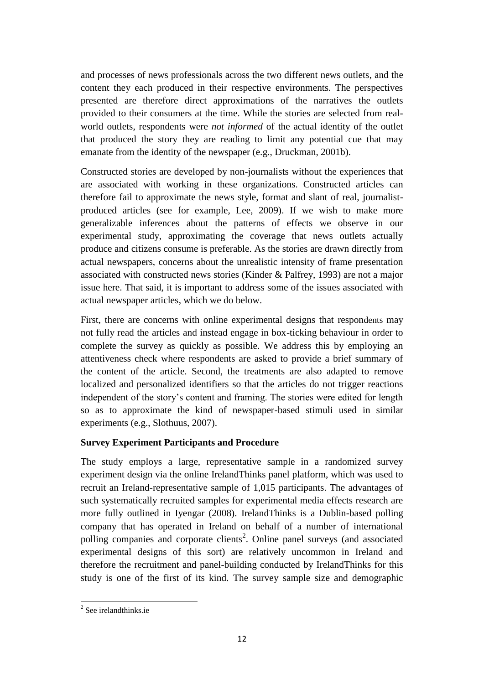and processes of news professionals across the two different news outlets, and the content they each produced in their respective environments. The perspectives presented are therefore direct approximations of the narratives the outlets provided to their consumers at the time. While the stories are selected from realworld outlets, respondents were *not informed* of the actual identity of the outlet that produced the story they are reading to limit any potential cue that may emanate from the identity of the newspaper (e.g., Druckman, 2001b).

Constructed stories are developed by non-journalists without the experiences that are associated with working in these organizations. Constructed articles can therefore fail to approximate the news style, format and slant of real, journalistproduced articles (see for example, Lee, 2009). If we wish to make more generalizable inferences about the patterns of effects we observe in our experimental study, approximating the coverage that news outlets actually produce and citizens consume is preferable. As the stories are drawn directly from actual newspapers, concerns about the unrealistic intensity of frame presentation associated with constructed news stories (Kinder & Palfrey, 1993) are not a major issue here. That said, it is important to address some of the issues associated with actual newspaper articles, which we do below.

First, there are concerns with online experimental designs that respondents may not fully read the articles and instead engage in box-ticking behaviour in order to complete the survey as quickly as possible. We address this by employing an attentiveness check where respondents are asked to provide a brief summary of the content of the article. Second, the treatments are also adapted to remove localized and personalized identifiers so that the articles do not trigger reactions independent of the story's content and framing. The stories were edited for length so as to approximate the kind of newspaper-based stimuli used in similar experiments (e.g., Slothuus, 2007).

#### **Survey Experiment Participants and Procedure**

The study employs a large, representative sample in a randomized survey experiment design via the online IrelandThinks panel platform, which was used to recruit an Ireland-representative sample of 1,015 participants. The advantages of such systematically recruited samples for experimental media effects research are more fully outlined in Iyengar (2008). IrelandThinks is a Dublin-based polling company that has operated in Ireland on behalf of a number of international polling companies and corporate clients<sup>2</sup>. Online panel surveys (and associated experimental designs of this sort) are relatively uncommon in Ireland and therefore the recruitment and panel-building conducted by IrelandThinks for this study is one of the first of its kind. The survey sample size and demographic

<sup>&</sup>lt;sup>2</sup> See irelandthinks.ie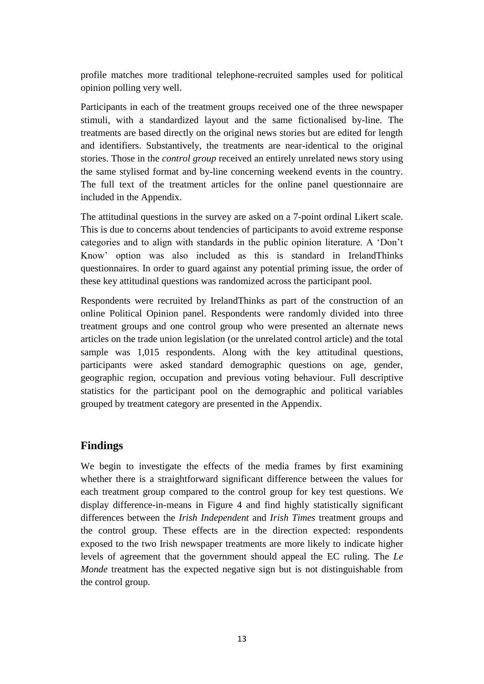profile matches more traditional telephone-recruited samples used for political opinion polling very well.

Participants in each of the treatment groups received one of the three newspaper stimuli, with a standardized layout and the same fictionalised by-line. The treatments are based directly on the original news stories but are edited for length and identifiers. Substantively, the treatments are near-identical to the original stories. Those in the *control group* received an entirely unrelated news story using the same stylised format and by-line concerning weekend events in the country. The full text of the treatment articles for the online panel questionnaire are included in the Appendix.

The attitudinal questions in the survey are asked on a 7-point ordinal Likert scale. This is due to concerns about tendencies of participants to avoid extreme response categories and to align with standards in the public opinion literature. A 'Don't Know' option was also included as this is standard in IrelandThinks questionnaires. In order to guard against any potential priming issue, the order of these key attitudinal questions was randomized across the participant pool.

Respondents were recruited by IrelandThinks as part of the construction of an online Political Opinion panel. Respondents were randomly divided into three treatment groups and one control group who were presented an alternate news articles on the trade union legislation (or the unrelated control article) and the total sample was 1,015 respondents. Along with the key attitudinal questions, participants were asked standard demographic questions on age, gender, geographic region, occupation and previous voting behaviour. Full descriptive statistics for the participant pool on the demographic and political variables grouped by treatment category are presented in the Appendix.

## **Findings**

We begin to investigate the effects of the media frames by first examining whether there is a straightforward significant difference between the values for each treatment group compared to the control group for key test questions. We display difference-in-means in Figure 4 and find highly statistically significant differences between the *Irish Independent* and *Irish Times* treatment groups and the control group. These effects are in the direction expected: respondents exposed to the two Irish newspaper treatments are more likely to indicate higher levels of agreement that the government should appeal the EC ruling. The *Le Monde* treatment has the expected negative sign but is not distinguishable from the control group.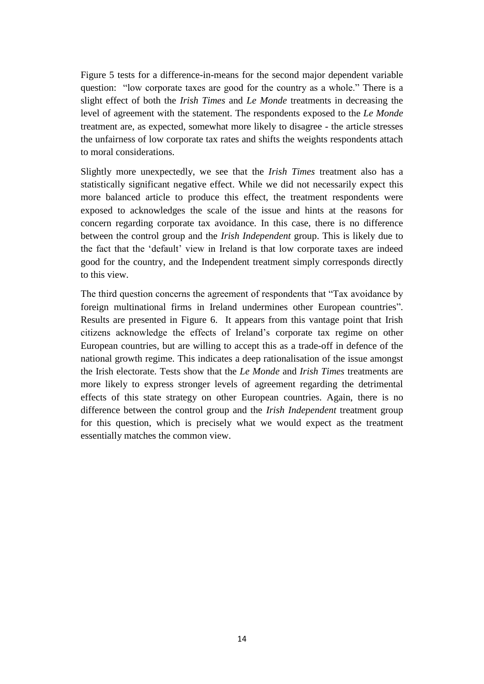Figure 5 tests for a difference-in-means for the second major dependent variable question: "low corporate taxes are good for the country as a whole." There is a slight effect of both the *Irish Times* and *Le Monde* treatments in decreasing the level of agreement with the statement. The respondents exposed to the *Le Monde*  treatment are, as expected, somewhat more likely to disagree - the article stresses the unfairness of low corporate tax rates and shifts the weights respondents attach to moral considerations.

Slightly more unexpectedly, we see that the *Irish Times* treatment also has a statistically significant negative effect. While we did not necessarily expect this more balanced article to produce this effect, the treatment respondents were exposed to acknowledges the scale of the issue and hints at the reasons for concern regarding corporate tax avoidance. In this case, there is no difference between the control group and the *Irish Independent* group. This is likely due to the fact that the 'default' view in Ireland is that low corporate taxes are indeed good for the country, and the Independent treatment simply corresponds directly to this view.

The third question concerns the agreement of respondents that "Tax avoidance by foreign multinational firms in Ireland undermines other European countries". Results are presented in Figure 6. It appears from this vantage point that Irish citizens acknowledge the effects of Ireland's corporate tax regime on other European countries, but are willing to accept this as a trade-off in defence of the national growth regime. This indicates a deep rationalisation of the issue amongst the Irish electorate. Tests show that the *Le Monde* and *Irish Times* treatments are more likely to express stronger levels of agreement regarding the detrimental effects of this state strategy on other European countries. Again, there is no difference between the control group and the *Irish Independent* treatment group for this question, which is precisely what we would expect as the treatment essentially matches the common view.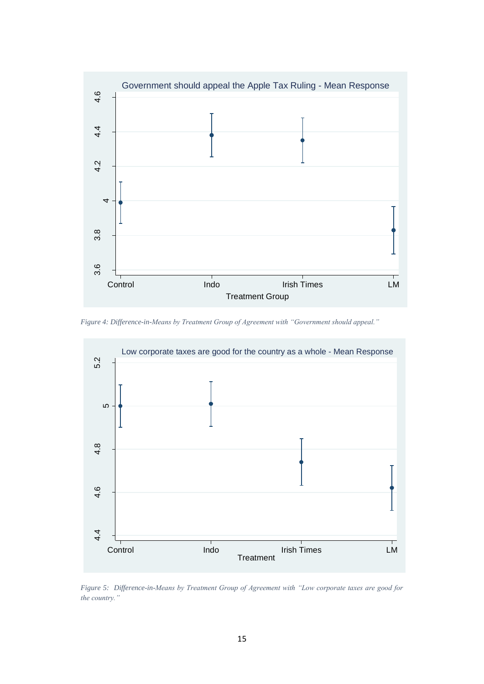

*Figure 4: Difference-in-Means by Treatment Group of Agreement with "Government should appeal."* 



*Figure 5: Difference-in-Means by Treatment Group of Agreement with "Low corporate taxes are good for the country."*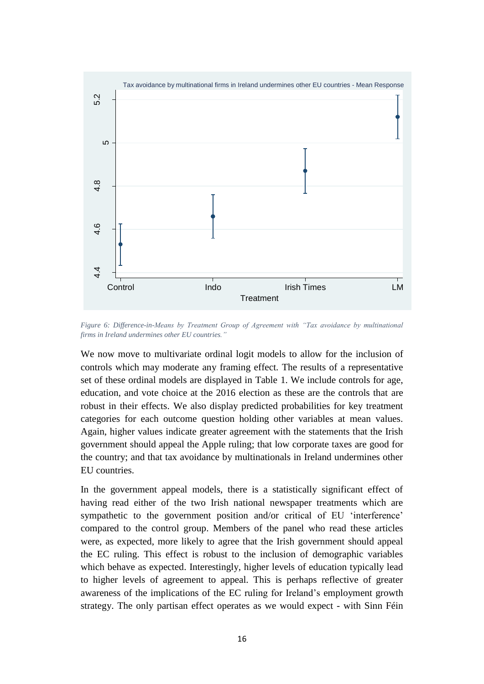

*Figure 6: Difference-in-Means by Treatment Group of Agreement with "Tax avoidance by multinational firms in Ireland undermines other EU countries."*

We now move to multivariate ordinal logit models to allow for the inclusion of controls which may moderate any framing effect. The results of a representative set of these ordinal models are displayed in Table 1. We include controls for age, education, and vote choice at the 2016 election as these are the controls that are robust in their effects. We also display predicted probabilities for key treatment categories for each outcome question holding other variables at mean values. Again, higher values indicate greater agreement with the statements that the Irish government should appeal the Apple ruling; that low corporate taxes are good for the country; and that tax avoidance by multinationals in Ireland undermines other EU countries.

In the government appeal models, there is a statistically significant effect of having read either of the two Irish national newspaper treatments which are sympathetic to the government position and/or critical of EU 'interference' compared to the control group. Members of the panel who read these articles were, as expected, more likely to agree that the Irish government should appeal the EC ruling. This effect is robust to the inclusion of demographic variables which behave as expected. Interestingly, higher levels of education typically lead to higher levels of agreement to appeal. This is perhaps reflective of greater awareness of the implications of the EC ruling for Ireland's employment growth strategy. The only partisan effect operates as we would expect - with Sinn Féin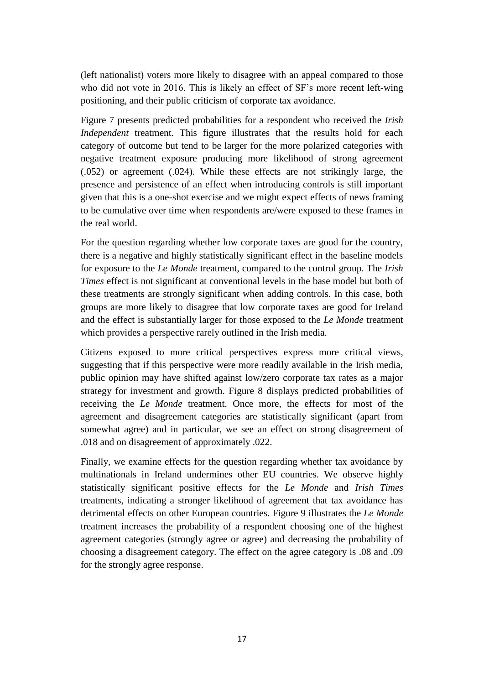(left nationalist) voters more likely to disagree with an appeal compared to those who did not vote in 2016. This is likely an effect of SF's more recent left-wing positioning, and their public criticism of corporate tax avoidance.

Figure 7 presents predicted probabilities for a respondent who received the *Irish Independent* treatment. This figure illustrates that the results hold for each category of outcome but tend to be larger for the more polarized categories with negative treatment exposure producing more likelihood of strong agreement (.052) or agreement (.024). While these effects are not strikingly large, the presence and persistence of an effect when introducing controls is still important given that this is a one-shot exercise and we might expect effects of news framing to be cumulative over time when respondents are/were exposed to these frames in the real world.

For the question regarding whether low corporate taxes are good for the country, there is a negative and highly statistically significant effect in the baseline models for exposure to the *Le Monde* treatment, compared to the control group. The *Irish Times* effect is not significant at conventional levels in the base model but both of these treatments are strongly significant when adding controls. In this case, both groups are more likely to disagree that low corporate taxes are good for Ireland and the effect is substantially larger for those exposed to the *Le Monde* treatment which provides a perspective rarely outlined in the Irish media.

Citizens exposed to more critical perspectives express more critical views, suggesting that if this perspective were more readily available in the Irish media, public opinion may have shifted against low/zero corporate tax rates as a major strategy for investment and growth. Figure 8 displays predicted probabilities of receiving the *Le Monde* treatment. Once more, the effects for most of the agreement and disagreement categories are statistically significant (apart from somewhat agree) and in particular, we see an effect on strong disagreement of .018 and on disagreement of approximately .022.

Finally, we examine effects for the question regarding whether tax avoidance by multinationals in Ireland undermines other EU countries. We observe highly statistically significant positive effects for the *Le Monde* and *Irish Times* treatments, indicating a stronger likelihood of agreement that tax avoidance has detrimental effects on other European countries. Figure 9 illustrates the *Le Monde* treatment increases the probability of a respondent choosing one of the highest agreement categories (strongly agree or agree) and decreasing the probability of choosing a disagreement category. The effect on the agree category is .08 and .09 for the strongly agree response.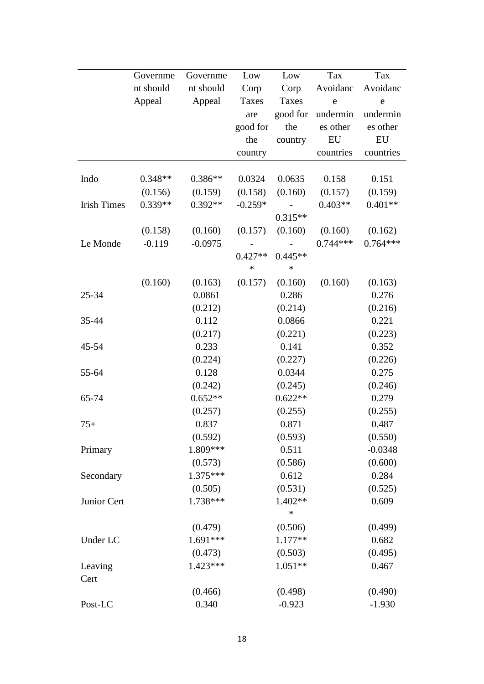|                    | Governme  | Governme             | Low                 | Low                 | Tax        | Tax        |
|--------------------|-----------|----------------------|---------------------|---------------------|------------|------------|
|                    | nt should | nt should            | Corp                | Corp                | Avoidanc   | Avoidanc   |
|                    | Appeal    | Appeal               | Taxes               | Taxes               | e          | e          |
|                    |           |                      | are                 | good for            | undermin   | undermin   |
|                    |           |                      | good for            | the                 | es other   | es other   |
|                    |           |                      | the                 | country             | EU         | EU         |
|                    |           |                      | country             |                     | countries  | countries  |
|                    |           |                      |                     |                     |            |            |
| Indo               | $0.348**$ | $0.386**$            | 0.0324              | 0.0635              | 0.158      | 0.151      |
|                    | (0.156)   | (0.159)              | (0.158)             | (0.160)             | (0.157)    | (0.159)    |
| <b>Irish Times</b> | $0.339**$ | $0.392**$            | $-0.259*$           |                     | $0.403**$  | $0.401**$  |
|                    |           |                      |                     | $0.315**$           |            |            |
|                    | (0.158)   | (0.160)              | (0.157)             | (0.160)             | (0.160)    | (0.162)    |
| Le Monde           | $-0.119$  | $-0.0975$            |                     |                     | $0.744***$ | $0.764***$ |
|                    |           |                      | $0.427**$<br>$\ast$ | $0.445**$<br>$\ast$ |            |            |
|                    | (0.160)   | (0.163)              | (0.157)             | (0.160)             | (0.160)    | (0.163)    |
| $25 - 34$          |           | 0.0861               |                     | 0.286               |            | 0.276      |
|                    |           | (0.212)              |                     | (0.214)             |            | (0.216)    |
| 35-44              |           | 0.112                |                     | 0.0866              |            | 0.221      |
|                    |           | (0.217)              |                     | (0.221)             |            | (0.223)    |
| 45-54              |           | 0.233                |                     | 0.141               |            | 0.352      |
|                    |           | (0.224)              |                     | (0.227)             |            | (0.226)    |
| 55-64              |           | 0.128                |                     | 0.0344              |            | 0.275      |
|                    |           |                      |                     | (0.245)             |            |            |
|                    |           | (0.242)<br>$0.652**$ |                     |                     |            | (0.246)    |
| 65-74              |           |                      |                     | $0.622**$           |            | 0.279      |
|                    |           | (0.257)              |                     | (0.255)             |            | (0.255)    |
| $75+$              |           | 0.837                |                     | 0.871               |            | 0.487      |
|                    |           | (0.592)              |                     | (0.593)             |            | (0.550)    |
| Primary            |           | 1.809***             |                     | 0.511               |            | $-0.0348$  |
|                    |           | (0.573)              |                     | (0.586)             |            | (0.600)    |
| Secondary          |           | $1.375***$           |                     | 0.612               |            | 0.284      |
|                    |           | (0.505)              |                     | (0.531)             |            | (0.525)    |
| Junior Cert        |           | 1.738***             |                     | $1.402**$           |            | 0.609      |
|                    |           |                      |                     | $\ast$              |            |            |
|                    |           | (0.479)              |                     | (0.506)             |            | (0.499)    |
| Under LC           |           | 1.691***             |                     | $1.177**$           |            | 0.682      |
|                    |           | (0.473)              |                     | (0.503)             |            | (0.495)    |
| Leaving            |           | $1.423***$           |                     | $1.051**$           |            | 0.467      |
| Cert               |           |                      |                     |                     |            |            |
|                    |           | (0.466)              |                     | (0.498)             |            | (0.490)    |
| Post-LC            |           | 0.340                |                     | $-0.923$            |            | $-1.930$   |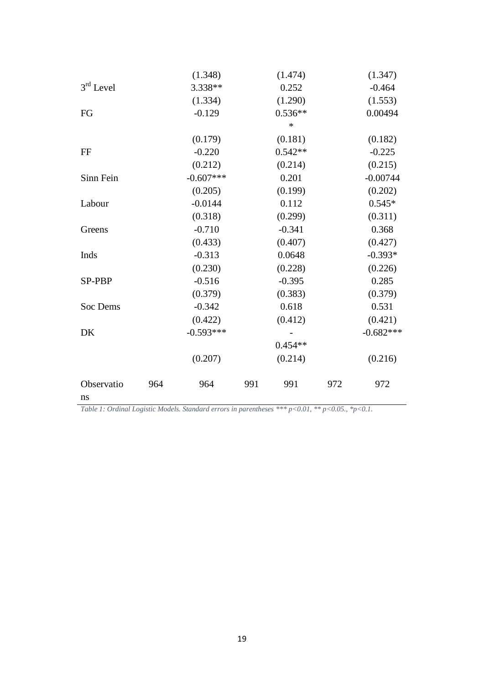|               |     | (1.348)     |     | (1.474)   |     | (1.347)     |
|---------------|-----|-------------|-----|-----------|-----|-------------|
| $3rd$ Level   |     | 3.338**     |     | 0.252     |     | $-0.464$    |
|               |     | (1.334)     |     | (1.290)   |     | (1.553)     |
| FG            |     | $-0.129$    |     | $0.536**$ |     | 0.00494     |
|               |     |             |     | $\ast$    |     |             |
|               |     | (0.179)     |     | (0.181)   |     | (0.182)     |
| FF            |     | $-0.220$    |     | $0.542**$ |     | $-0.225$    |
|               |     | (0.212)     |     | (0.214)   |     | (0.215)     |
| Sinn Fein     |     | $-0.607***$ |     | 0.201     |     | $-0.00744$  |
|               |     | (0.205)     |     | (0.199)   |     | (0.202)     |
| Labour        |     | $-0.0144$   |     | 0.112     |     | $0.545*$    |
|               |     | (0.318)     |     | (0.299)   |     | (0.311)     |
| Greens        |     | $-0.710$    |     | $-0.341$  |     | 0.368       |
|               |     | (0.433)     |     | (0.407)   |     | (0.427)     |
| Inds          |     | $-0.313$    |     | 0.0648    |     | $-0.393*$   |
|               |     | (0.230)     |     | (0.228)   |     | (0.226)     |
| <b>SP-PBP</b> |     | $-0.516$    |     | $-0.395$  |     | 0.285       |
|               |     | (0.379)     |     | (0.383)   |     | (0.379)     |
| Soc Dems      |     | $-0.342$    |     | 0.618     |     | 0.531       |
|               |     | (0.422)     |     | (0.412)   |     | (0.421)     |
| DK            |     | $-0.593***$ |     |           |     | $-0.682***$ |
|               |     |             |     | $0.454**$ |     |             |
|               |     | (0.207)     |     | (0.214)   |     | (0.216)     |
| Observatio    | 964 | 964         | 991 | 991       | 972 | 972         |
| ns            |     |             |     |           |     |             |

*Table 1: Ordinal Logistic Models. Standard errors in parentheses \*\*\* p<0.01, \*\* p<0.05., \*p<0.1.*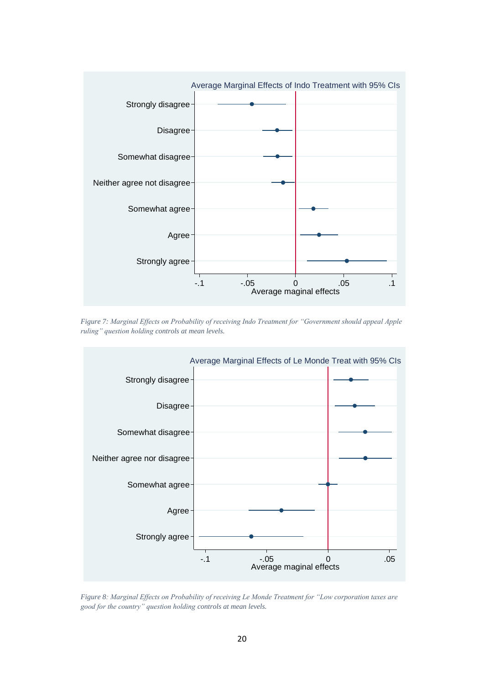

*Figure 7: Marginal Effects on Probability of receiving Indo Treatment for "Government should appeal Apple ruling" question holding controls at mean levels.*



*Figure 8: Marginal Effects on Probability of receiving Le Monde Treatment for "Low corporation taxes are good for the country" question holding controls at mean levels.*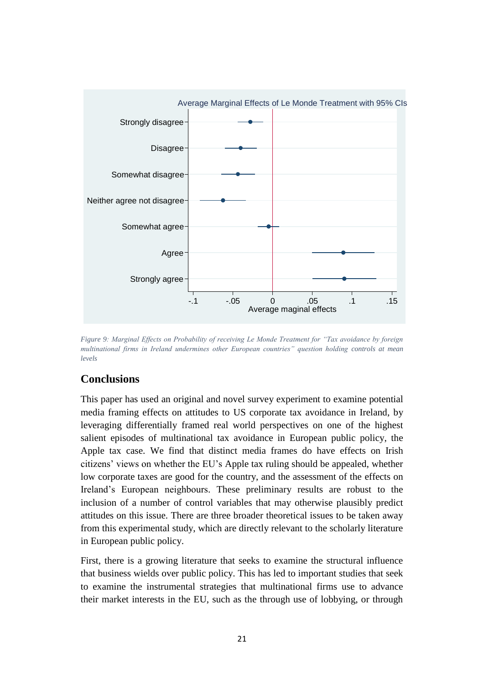

*Figure 9: Marginal Effects on Probability of receiving Le Monde Treatment for "Tax avoidance by foreign multinational firms in Ireland undermines other European countries" question holding controls at mean levels*

## **Conclusions**

This paper has used an original and novel survey experiment to examine potential media framing effects on attitudes to US corporate tax avoidance in Ireland, by leveraging differentially framed real world perspectives on one of the highest salient episodes of multinational tax avoidance in European public policy, the Apple tax case. We find that distinct media frames do have effects on Irish citizens' views on whether the EU's Apple tax ruling should be appealed, whether low corporate taxes are good for the country, and the assessment of the effects on Ireland's European neighbours. These preliminary results are robust to the inclusion of a number of control variables that may otherwise plausibly predict attitudes on this issue. There are three broader theoretical issues to be taken away from this experimental study, which are directly relevant to the scholarly literature in European public policy.

First, there is a growing literature that seeks to examine the structural influence that business wields over public policy. This has led to important studies that seek to examine the instrumental strategies that multinational firms use to advance their market interests in the EU, such as the through use of lobbying, or through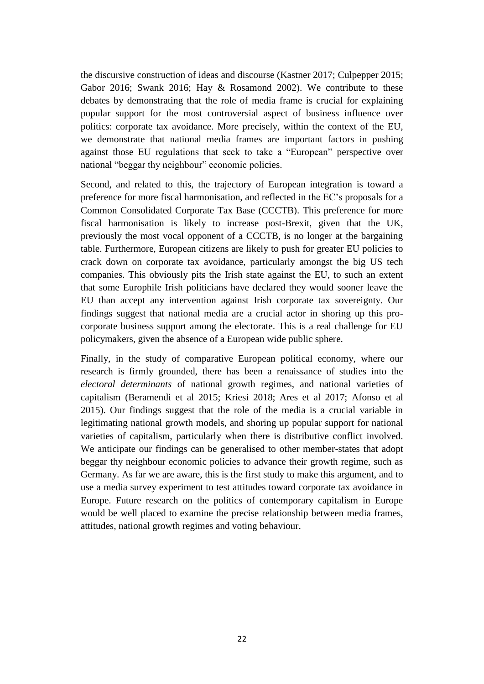the discursive construction of ideas and discourse (Kastner 2017; Culpepper 2015; Gabor 2016; Swank 2016; Hay & Rosamond 2002). We contribute to these debates by demonstrating that the role of media frame is crucial for explaining popular support for the most controversial aspect of business influence over politics: corporate tax avoidance. More precisely, within the context of the EU, we demonstrate that national media frames are important factors in pushing against those EU regulations that seek to take a "European" perspective over national "beggar thy neighbour" economic policies.

Second, and related to this, the trajectory of European integration is toward a preference for more fiscal harmonisation, and reflected in the EC's proposals for a Common Consolidated Corporate Tax Base (CCCTB). This preference for more fiscal harmonisation is likely to increase post-Brexit, given that the UK, previously the most vocal opponent of a CCCTB, is no longer at the bargaining table. Furthermore, European citizens are likely to push for greater EU policies to crack down on corporate tax avoidance, particularly amongst the big US tech companies. This obviously pits the Irish state against the EU, to such an extent that some Europhile Irish politicians have declared they would sooner leave the EU than accept any intervention against Irish corporate tax sovereignty. Our findings suggest that national media are a crucial actor in shoring up this procorporate business support among the electorate. This is a real challenge for EU policymakers, given the absence of a European wide public sphere.

Finally, in the study of comparative European political economy, where our research is firmly grounded, there has been a renaissance of studies into the *electoral determinants* of national growth regimes, and national varieties of capitalism (Beramendi et al 2015; Kriesi 2018; Ares et al 2017; Afonso et al 2015). Our findings suggest that the role of the media is a crucial variable in legitimating national growth models, and shoring up popular support for national varieties of capitalism, particularly when there is distributive conflict involved. We anticipate our findings can be generalised to other member-states that adopt beggar thy neighbour economic policies to advance their growth regime, such as Germany. As far we are aware, this is the first study to make this argument, and to use a media survey experiment to test attitudes toward corporate tax avoidance in Europe. Future research on the politics of contemporary capitalism in Europe would be well placed to examine the precise relationship between media frames, attitudes, national growth regimes and voting behaviour.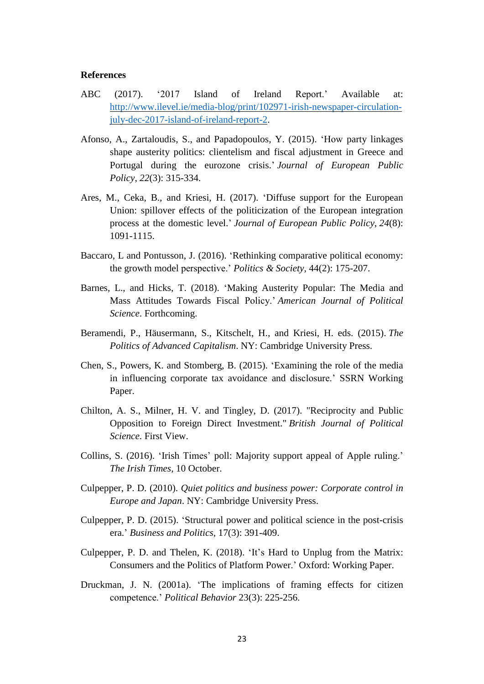#### **References**

- ABC (2017). '2017 Island of Ireland Report.' Available at: [http://www.ilevel.ie/media-blog/print/102971-irish-newspaper-circulation](http://www.ilevel.ie/media-blog/print/102971-irish-newspaper-circulation-july-dec-2017-island-of-ireland-report-2)[july-dec-2017-island-of-ireland-report-2.](http://www.ilevel.ie/media-blog/print/102971-irish-newspaper-circulation-july-dec-2017-island-of-ireland-report-2)
- Afonso, A., Zartaloudis, S., and Papadopoulos, Y. (2015). 'How party linkages shape austerity politics: clientelism and fiscal adjustment in Greece and Portugal during the eurozone crisis.' *Journal of European Public Policy*, *22*(3): 315-334.
- Ares, M., Ceka, B., and Kriesi, H. (2017). 'Diffuse support for the European Union: spillover effects of the politicization of the European integration process at the domestic level.' *Journal of European Public Policy*, *24*(8): 1091-1115.
- Baccaro, L and Pontusson, J. (2016). 'Rethinking comparative political economy: the growth model perspective.' *Politics & Society*, 44(2): 175-207.
- Barnes, L., and Hicks, T. (2018). 'Making Austerity Popular: The Media and Mass Attitudes Towards Fiscal Policy.' *American Journal of Political Science*. Forthcoming.
- Beramendi, P., Häusermann, S., Kitschelt, H., and Kriesi, H. eds. (2015). *The Politics of Advanced Capitalism*. NY: Cambridge University Press.
- Chen, S., Powers, K. and Stomberg, B. (2015). 'Examining the role of the media in influencing corporate tax avoidance and disclosure.' SSRN Working Paper.
- Chilton, A. S., Milner, H. V. and Tingley, D. (2017). "Reciprocity and Public Opposition to Foreign Direct Investment." *British Journal of Political Science*. First View.
- Collins, S. (2016). 'Irish Times' poll: Majority support appeal of Apple ruling.' *The Irish Times*, 10 October.
- Culpepper, P. D. (2010). *Quiet politics and business power: Corporate control in Europe and Japan*. NY: Cambridge University Press.
- Culpepper, P. D. (2015). 'Structural power and political science in the post-crisis era.' *Business and Politics*, 17(3): 391-409.
- Culpepper, P. D. and Thelen, K. (2018). 'It's Hard to Unplug from the Matrix: Consumers and the Politics of Platform Power.' Oxford: Working Paper.
- Druckman, J. N. (2001a). 'The implications of framing effects for citizen competence.' *Political Behavior* 23(3): 225-256.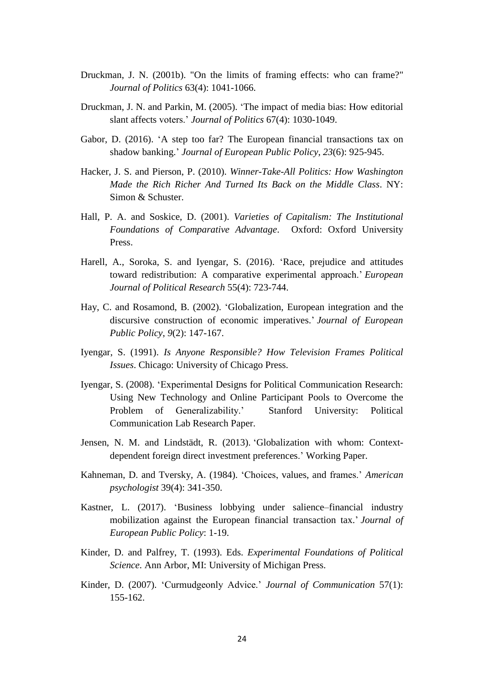- Druckman, J. N. (2001b). "On the limits of framing effects: who can frame?" *Journal of Politics* 63(4): 1041-1066.
- Druckman, J. N. and Parkin, M. (2005). 'The impact of media bias: How editorial slant affects voters.' *Journal of Politics* 67(4): 1030-1049.
- Gabor, D. (2016). 'A step too far? The European financial transactions tax on shadow banking.' *Journal of European Public Policy*, *23*(6): 925-945.
- Hacker, J. S. and Pierson, P. (2010). *Winner-Take-All Politics: How Washington Made the Rich Richer And Turned Its Back on the Middle Class*. NY: Simon & Schuster.
- Hall, P. A. and Soskice, D. (2001). *Varieties of Capitalism: The Institutional Foundations of Comparative Advantage*. Oxford: Oxford University Press.
- Harell, A., Soroka, S. and Iyengar, S. (2016). 'Race, prejudice and attitudes toward redistribution: A comparative experimental approach.' *European Journal of Political Research* 55(4): 723-744.
- Hay, C. and Rosamond, B. (2002). 'Globalization, European integration and the discursive construction of economic imperatives.' *Journal of European Public Policy*, *9*(2): 147-167.
- Iyengar, S. (1991). *Is Anyone Responsible? How Television Frames Political Issues*. Chicago: University of Chicago Press.
- Iyengar, S. (2008). 'Experimental Designs for Political Communication Research: Using New Technology and Online Participant Pools to Overcome the Problem of Generalizability.' Stanford University: Political Communication Lab Research Paper.
- Jensen, N. M. and Lindstädt, R. (2013). 'Globalization with whom: Contextdependent foreign direct investment preferences.' Working Paper.
- Kahneman, D. and Tversky, A. (1984). 'Choices, values, and frames.' *American psychologist* 39(4): 341-350.
- Kastner, L. (2017). 'Business lobbying under salience–financial industry mobilization against the European financial transaction tax.' *Journal of European Public Policy*: 1-19.
- Kinder, D. and Palfrey, T. (1993). Eds. *Experimental Foundations of Political Science*. Ann Arbor, MI: University of Michigan Press.
- Kinder, D. (2007). 'Curmudgeonly Advice.' *Journal of Communication* 57(1): 155-162.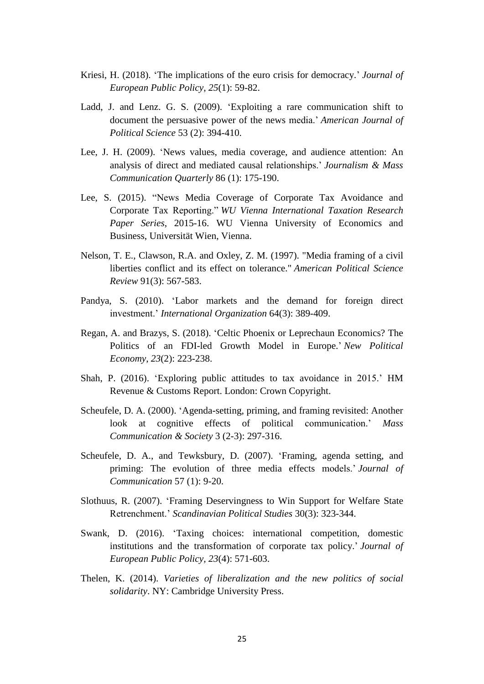- Kriesi, H. (2018). 'The implications of the euro crisis for democracy.' *Journal of European Public Policy*, *25*(1): 59-82.
- Ladd, J. and Lenz. G. S. (2009). 'Exploiting a rare communication shift to document the persuasive power of the news media.' *American Journal of Political Science* 53 (2): 394-410.
- Lee, J. H. (2009). 'News values, media coverage, and audience attention: An analysis of direct and mediated causal relationships.' *Journalism & Mass Communication Quarterly* 86 (1): 175-190.
- Lee, S. (2015). "News Media Coverage of Corporate Tax Avoidance and Corporate Tax Reporting." *WU Vienna International Taxation Research Paper Series*, 2015-16. WU Vienna University of Economics and Business, Universität Wien, Vienna.
- Nelson, T. E., Clawson, R.A. and Oxley, Z. M. (1997). "Media framing of a civil liberties conflict and its effect on tolerance." *American Political Science Review* 91(3): 567-583.
- Pandya, S. (2010). 'Labor markets and the demand for foreign direct investment.' *International Organization* 64(3): 389-409.
- Regan, A. and Brazys, S. (2018). 'Celtic Phoenix or Leprechaun Economics? The Politics of an FDI-led Growth Model in Europe.' *New Political Economy*, *23*(2): 223-238.
- Shah, P. (2016). 'Exploring public attitudes to tax avoidance in 2015.' HM Revenue & Customs Report. London: Crown Copyright.
- Scheufele, D. A. (2000). 'Agenda-setting, priming, and framing revisited: Another look at cognitive effects of political communication.' *Mass Communication & Society* 3 (2-3): 297-316.
- Scheufele, D. A., and Tewksbury, D. (2007). 'Framing, agenda setting, and priming: The evolution of three media effects models.' *Journal of Communication* 57 (1): 9-20.
- Slothuus, R. (2007). 'Framing Deservingness to Win Support for Welfare State Retrenchment.' *Scandinavian Political Studies* 30(3): 323-344.
- Swank, D. (2016). 'Taxing choices: international competition, domestic institutions and the transformation of corporate tax policy.' *Journal of European Public Policy*, *23*(4): 571-603.
- Thelen, K. (2014). *Varieties of liberalization and the new politics of social solidarity*. NY: Cambridge University Press.